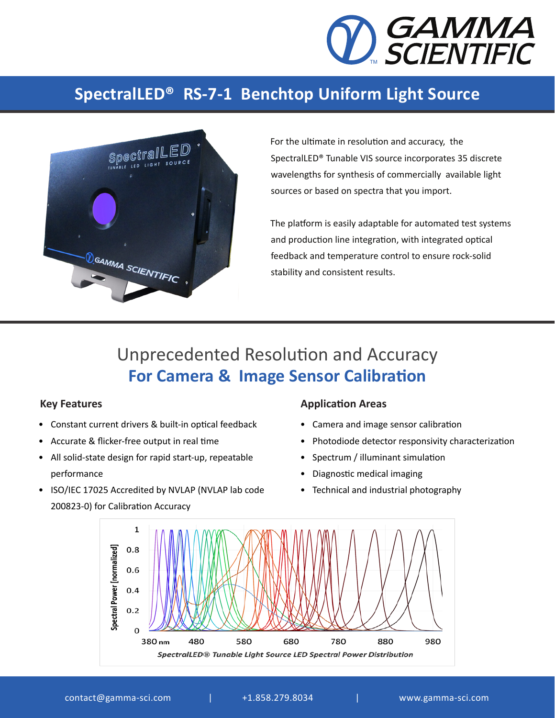

## **SpectralLED® RS-7-1 Benchtop Uniform Light Source**



For the ultimate in resolution and accuracy, the SpectralLED® Tunable VIS source incorporates 35 discrete wavelengths for synthesis of commercially available light sources or based on spectra that you import.

The platform is easily adaptable for automated test systems and production line integration, with integrated optical feedback and temperature control to ensure rock-solid stability and consistent results.

# Unprecedented Resolution and Accuracy **For Camera & Image Sensor Calibration**

- Constant current drivers & built-in optical feedback
- Accurate & flicker-free output in real time
- All solid-state design for rapid start-up, repeatable performance
- ISO/IEC 17025 Accredited by NVLAP (NVLAP lab code 200823-0) for Calibration Accuracy

### **Key Features Application Areas Application Areas**

- Camera and image sensor calibration
- Photodiode detector responsivity characterization
- Spectrum / illuminant simulation
- Diagnostic medical imaging
- Technical and industrial photography